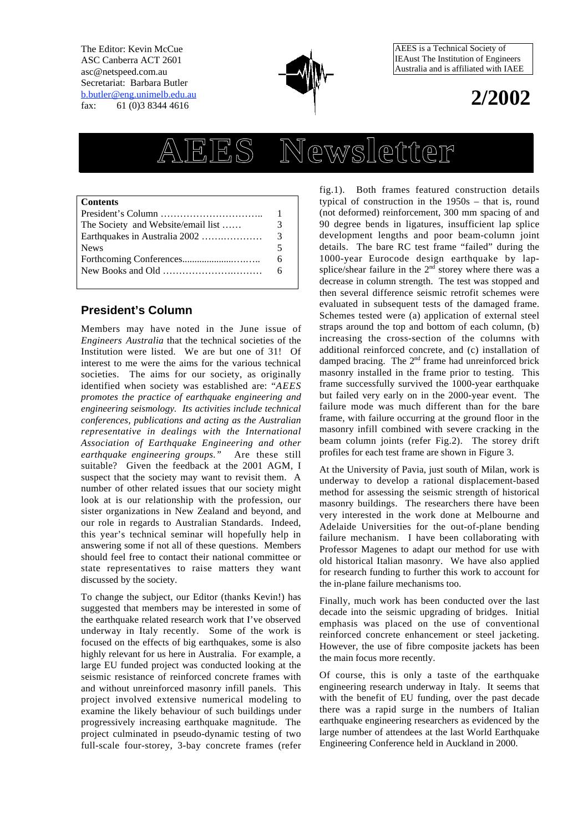The Editor: Kevin McCue ASC Canberra ACT 2601 asc@netspeed.com.au Secretariat: Barbara Butler b.butler@eng.unimelb.edu.au fax: 61 (0)3 8344 4616



AEES is a Technical Society of IEAust The Institution of Engineers Australia and is affiliated with IAEE

## **2/2002**

# **AEES Newsletter**

#### **Contents**

| $President's Column \dots \dots \dots \dots \dots \dots \dots \dots \dots$ |     |
|----------------------------------------------------------------------------|-----|
| The Society and Website/email list                                         | 3   |
|                                                                            | -3  |
| <b>News</b>                                                                |     |
|                                                                            | 6.  |
|                                                                            | - 6 |
|                                                                            |     |

## **President's Column**

Members may have noted in the June issue of *Engineers Australia* that the technical societies of the Institution were listed. We are but one of 31! Of interest to me were the aims for the various technical societies. The aims for our society, as originally identified when society was established are: "*AEES promotes the practice of earthquake engineering and engineering seismology. Its activities include technical conferences, publications and acting as the Australian representative in dealings with the International Association of Earthquake Engineering and other earthquake engineering groups."* Are these still suitable? Given the feedback at the 2001 AGM, I suspect that the society may want to revisit them. A number of other related issues that our society might look at is our relationship with the profession, our sister organizations in New Zealand and beyond, and our role in regards to Australian Standards. Indeed, this year's technical seminar will hopefully help in answering some if not all of these questions. Members should feel free to contact their national committee or state representatives to raise matters they want discussed by the society.

To change the subject, our Editor (thanks Kevin!) has suggested that members may be interested in some of the earthquake related research work that I've observed underway in Italy recently. Some of the work is focused on the effects of big earthquakes, some is also highly relevant for us here in Australia. For example, a large EU funded project was conducted looking at the seismic resistance of reinforced concrete frames with and without unreinforced masonry infill panels. This project involved extensive numerical modeling to examine the likely behaviour of such buildings under progressively increasing earthquake magnitude. The project culminated in pseudo-dynamic testing of two full-scale four-storey, 3-bay concrete frames (refer

fig.1). Both frames featured construction details typical of construction in the 1950s – that is, round (not deformed) reinforcement, 300 mm spacing of and 90 degree bends in ligatures, insufficient lap splice development lengths and poor beam-column joint details. The bare RC test frame "failed" during the 1000-year Eurocode design earthquake by lapsplice/shear failure in the  $2<sup>nd</sup>$  storey where there was a decrease in column strength. The test was stopped and then several difference seismic retrofit schemes were evaluated in subsequent tests of the damaged frame. Schemes tested were (a) application of external steel straps around the top and bottom of each column, (b) increasing the cross-section of the columns with additional reinforced concrete, and (c) installation of damped bracing. The 2<sup>nd</sup> frame had unreinforced brick masonry installed in the frame prior to testing. This frame successfully survived the 1000-year earthquake but failed very early on in the 2000-year event. The failure mode was much different than for the bare frame, with failure occurring at the ground floor in the masonry infill combined with severe cracking in the beam column joints (refer Fig.2). The storey drift profiles for each test frame are shown in Figure 3.

At the University of Pavia, just south of Milan, work is underway to develop a rational displacement-based method for assessing the seismic strength of historical masonry buildings. The researchers there have been very interested in the work done at Melbourne and Adelaide Universities for the out-of-plane bending failure mechanism. I have been collaborating with Professor Magenes to adapt our method for use with old historical Italian masonry. We have also applied for research funding to further this work to account for the in-plane failure mechanisms too.

Finally, much work has been conducted over the last decade into the seismic upgrading of bridges. Initial emphasis was placed on the use of conventional reinforced concrete enhancement or steel jacketing. However, the use of fibre composite jackets has been the main focus more recently.

Of course, this is only a taste of the earthquake engineering research underway in Italy. It seems that with the benefit of EU funding, over the past decade there was a rapid surge in the numbers of Italian earthquake engineering researchers as evidenced by the large number of attendees at the last World Earthquake Engineering Conference held in Auckland in 2000.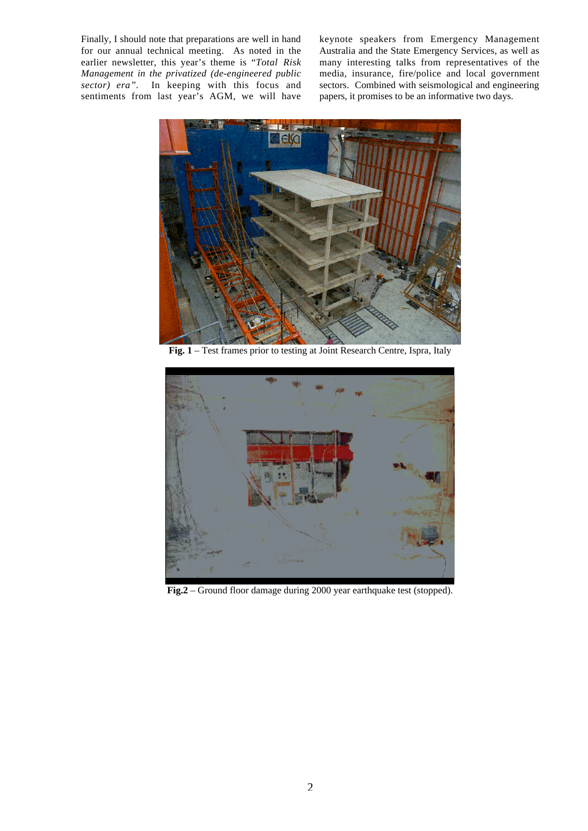Finally, I should note that preparations are well in hand for our annual technical meeting. As noted in the earlier newsletter, this year's theme is "*Total Risk Management in the privatized (de-engineered public sector) era".* In keeping with this focus and sentiments from last year's AGM, we will have keynote speakers from Emergency Management Australia and the State Emergency Services, as well as many interesting talks from representatives of the media, insurance, fire/police and local government sectors. Combined with seismological and engineering papers, it promises to be an informative two days.



**Fig. 1** – Test frames prior to testing at Joint Research Centre, Ispra, Italy



**Fig.2** – Ground floor damage during 2000 year earthquake test (stopped).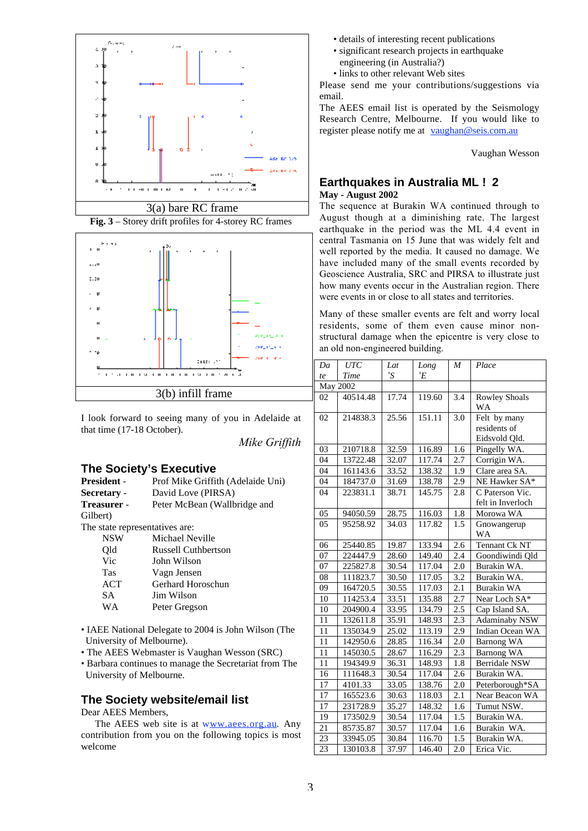



I look forward to seeing many of you in Adelaide at that time (17-18 October).

*Mike Griffith*

#### **The Society's Executive**

| <b>President -</b>             | Prof Mike Griffith (Adelaide Uni) |  |  |  |
|--------------------------------|-----------------------------------|--|--|--|
| Secretary -                    | David Love (PIRSA)                |  |  |  |
| Treasurer -                    | Peter McBean (Wallbridge and      |  |  |  |
| Gilbert)                       |                                   |  |  |  |
| The state representatives are: |                                   |  |  |  |
| NSW                            | Michael Neville                   |  |  |  |
| Old                            | Russell Cuthbertson               |  |  |  |
| Vic                            | John Wilson                       |  |  |  |
| <b>Tas</b>                     | Vagn Jensen                       |  |  |  |
| ACT                            | Gerhard Horoschun                 |  |  |  |
| SА                             | Jim Wilson                        |  |  |  |
| WА                             | Peter Gregson                     |  |  |  |
|                                |                                   |  |  |  |

- IAEE National Delegate to 2004 is John Wilson (The University of Melbourne).
- The AEES Webmaster is Vaughan Wesson (SRC)
- Barbara continues to manage the Secretariat from The University of Melbourne.

## **The Society website/email list**

Dear AEES Members,

The AEES web site is at www.aees.org.au. Any contribution from you on the following topics is most welcome

- details of interesting recent publications
- significant research projects in earthquake engineering (in Australia?)
- links to other relevant Web sites

Please send me your contributions/suggestions via email.

The AEES email list is operated by the Seismology Research Centre, Melbourne. If you would like to register please notify me at vaughan@seis.com.au

Vaughan Wesson

#### **Earthquakes in Australia ML ≥ 2 May - August 2002**

The sequence at Burakin WA continued through to August though at a diminishing rate. The largest earthquake in the period was the ML 4.4 event in central Tasmania on 15 June that was widely felt and well reported by the media. It caused no damage. We have included many of the small events recorded by Geoscience Australia, SRC and PIRSA to illustrate just how many events occur in the Australian region. There were events in or close to all states and territories.

Many of these smaller events are felt and worry local residents, some of them even cause minor nonstructural damage when the epicentre is very close to an old non-engineered building.

| Da | <b>UTC</b> | Lat   | Long             | M   | Place                                |
|----|------------|-------|------------------|-----|--------------------------------------|
| te | Time       | °S    | $\,{}^\circ\! E$ |     |                                      |
|    | May 2002   |       |                  |     |                                      |
| 02 | 40514.48   | 17.74 | 119.60           | 3.4 | <b>Rowley Shoals</b><br>WA           |
| 02 | 214838.3   | 25.56 | 151.11           | 3.0 | Felt by many<br>residents of         |
|    |            |       |                  |     | Eidsvold Qld.                        |
| 03 | 210718.8   | 32.59 | 116.89           | 1.6 | Pingelly WA.                         |
| 04 | 13722.48   | 32.07 | 117.74           | 2.7 | Corrigin WA.                         |
| 04 | 161143.6   | 33.52 | 138.32           | 1.9 | Clare area SA.                       |
| 04 | 184737.0   | 31.69 | 138.78           | 2.9 | NE Hawker SA*                        |
| 04 | 223831.1   | 38.71 | 145.75           | 2.8 | C Paterson Vic.<br>felt in Inverloch |
| 05 | 94050.59   | 28.75 | 116.03           | 1.8 | Morowa WA                            |
| 05 | 95258.92   | 34.03 | 117.82           | 1.5 | Gnowangerup<br><b>WA</b>             |
| 06 | 25440.85   | 19.87 | 133.94           | 2.6 | Tennant Ck NT                        |
| 07 | 224447.9   | 28.60 | 149.40           | 2.4 | Goondiwindi Qld                      |
| 07 | 225827.8   | 30.54 | 117.04           | 2.0 | Burakin WA.                          |
| 08 | 111823.7   | 30.50 | 117.05           | 3.2 | Burakin WA.                          |
| 09 | 164720.5   | 30.55 | 117.03           | 2.1 | Burakin WA                           |
| 10 | 114253.4   | 33.51 | 135.88           | 2.7 | Near Loch SA*                        |
| 10 | 204900.4   | 33.95 | 134.79           | 2.5 | Cap Island SA.                       |
| 11 | 132611.8   | 35.91 | 148.93           | 2.3 | <b>Adaminaby NSW</b>                 |
| 11 | 135034.9   | 25.02 | 113.19           | 2.9 | Indian Ocean WA                      |
| 11 | 142950.6   | 28.85 | 116.34           | 2.0 | <b>Barnong WA</b>                    |
| 11 | 145030.5   | 28.67 | 116.29           | 2.3 | <b>Barnong WA</b>                    |
| 11 | 194349.9   | 36.31 | 148.93           | 1.8 | Berridale NSW                        |
| 16 | 111648.3   | 30.54 | 117.04           | 2.6 | Burakin WA.                          |
| 17 | 4101.33    | 33.05 | 138.76           | 2.0 | Peterborough*SA                      |
| 17 | 165523.6   | 30.63 | 118.03           | 2.1 | Near Beacon WA                       |
| 17 | 231728.9   | 35.27 | 148.32           | 1.6 | Tumut NSW.                           |
| 19 | 173502.9   | 30.54 | 117.04           | 1.5 | Burakin WA.                          |
| 21 | 85735.87   | 30.57 | 117.04           | 1.6 | Burakin WA.                          |
| 23 | 33945.05   | 30.84 | 116.70           | 1.5 | Burakin WA.                          |
| 23 | 130103.8   | 37.97 | 146.40           | 2.0 | Erica Vic.                           |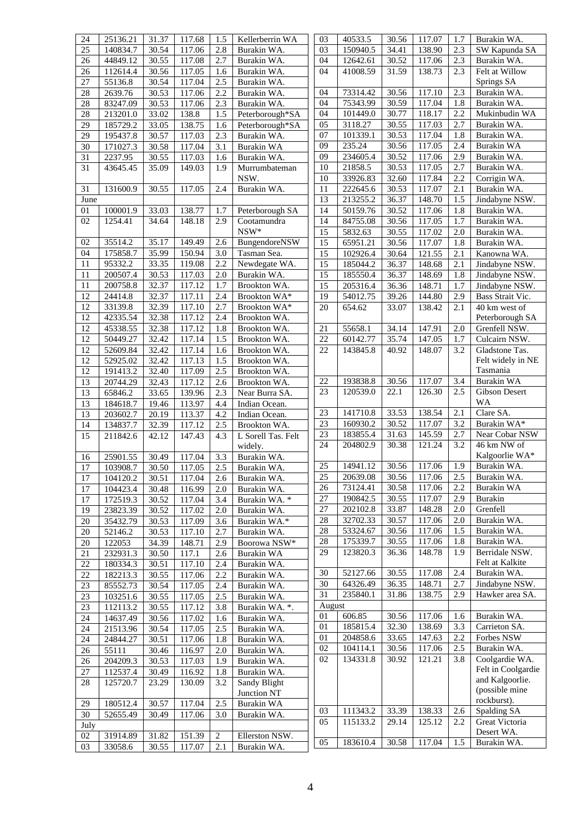| 24              | 25136.21            | 31.37          | 117.68           | 1.5              | Kellerberrin WA                                     | 03              | 40533.5              | 30.56          | 117.07           | 1.7        | Burakin WA.                       |
|-----------------|---------------------|----------------|------------------|------------------|-----------------------------------------------------|-----------------|----------------------|----------------|------------------|------------|-----------------------------------|
| 25              | 140834.7            | 30.54          | 117.06           | 2.8              | Burakin WA.                                         | 03              | 150940.5             | 34.41          | 138.90           | 2.3        | SW Kapunda SA                     |
| 26              | 44849.12            | 30.55          | 117.08           | 2.7              | Burakin WA.                                         | 04              | 12642.61             | 30.52          | 117.06           | 2.3        | Burakin WA.                       |
| $26\,$          | 112614.4            | 30.56          | 117.05           | 1.6              | Burakin WA.                                         | 04              | 41008.59             | 31.59          | 138.73           | 2.3        | Felt at Willow                    |
| 27              | 55136.8             | 30.54          | 117.04           | 2.5              | Burakin WA.                                         |                 |                      |                |                  |            | Springs SA                        |
| 28              | 2639.76             | 30.53          | 117.06           | 2.2              | Burakin WA.                                         | 04              | 73314.42             | 30.56          | 117.10           | 2.3        | Burakin WA.                       |
| 28              | 83247.09            | 30.53          | 117.06           | 2.3              | Burakin WA.                                         | 04              | 75343.99             | 30.59          | 117.04           | 1.8        | Burakin WA.                       |
| 28              | 213201.0            | 33.02          | 138.8            | 1.5              | Peterborough*SA                                     | 04              | 101449.0             | 30.77          | 118.17           | 2.2        | Mukinbudin WA                     |
| 29              | 185729.2            | 33.05          | 138.75           | 1.6              | Peterborough*SA                                     | 05              | 3118.27              | 30.55          | 117.03           | 2.7        | Burakin WA.                       |
| 29              | 195437.8            | 30.57          | 117.03           | $2.\overline{3}$ | Burakin WA.                                         | 07              | 101339.1             | 30.53          | 117.04           | 1.8        | Burakin WA.                       |
| 30              | 171027.3            | 30.58          | 117.04           | 3.1              | Burakin WA                                          | 09              | 235.24               | 30.56          | 117.05           | 2.4        | Burakin WA                        |
| 31              | 2237.95             | 30.55          | 117.03           | 1.6              | Burakin WA.                                         | 09              | 234605.4             | 30.52          | 117.06           | 2.9        | Burakin WA.                       |
| 31              | 43645.45            | 35.09          | 149.03           | 1.9              | Murrumbateman                                       | 10              | 21858.5              | 30.53          | 117.05           | 2.7        | Burakin WA.                       |
|                 |                     |                |                  |                  | NSW.                                                | 10              | 33926.83             | 32.60          | 117.84           | 2.2        | Corrigin WA.                      |
| 31              | 131600.9            | 30.55          | 117.05           | 2.4              | Burakin WA.                                         | 11              | 222645.6             | 30.53          | 117.07           | 2.1        | Burakin WA.                       |
| June            |                     |                |                  |                  |                                                     | 13              | 213255.2             | 36.37          | 148.70           | 1.5        | Jindabyne NSW.                    |
| 01<br>02        | 100001.9<br>1254.41 | 33.03<br>34.64 | 138.77<br>148.18 | 1.7<br>2.9       | Peterborough SA<br>$\overline{\text{C}}$ ootamundra | 14<br>14        | 50159.76<br>84755.08 | 30.52<br>30.56 | 117.06<br>117.05 | 1.8<br>1.7 | Burakin WA.                       |
|                 |                     |                |                  |                  | $NSW*$                                              | 15              | 5832.63              | 30.55          | 117.02           | 2.0        | Burakin WA.<br>Burakin WA.        |
| 02              | 35514.2             | 35.17          | 149.49           | 2.6              | BungendoreNSW                                       | 15              |                      |                |                  |            |                                   |
| 04              | 175858.7            | 35.99          | 150.94           | 3.0              | Tasman Sea.                                         | 15              | 65951.21<br>102926.4 | 30.56<br>30.64 | 117.07<br>121.55 | 1.8<br>2.1 | Burakin WA.<br>Kanowna WA.        |
| 11              | 95332.2             | 33.35          | 119.08           | 2.2              | Newdegate WA.                                       | 15              | 185044.2             | 36.37          | 148.68           | 2.1        | Jindabyne NSW.                    |
| 11              | 200507.4            | 30.53          | 117.03           | 2.0              | Burakin WA.                                         | 15              | 185550.4             | 36.37          | 148.69           | 1.8        | Jindabyne NSW.                    |
| 11              | 200758.8            | 32.37          | 117.12           | 1.7              | Brookton WA.                                        | 15              | 205316.4             | 36.36          | 148.71           | 1.7        | Jindabyne NSW.                    |
| 12              | 24414.8             | 32.37          | 117.11           | 2.4              | Brookton WA*                                        | 19              | 54012.75             | 39.26          | 144.80           | 2.9        | Bass Strait Vic.                  |
| 12              | 33139.8             | 32.39          | 117.10           | 2.7              | Brookton WA*                                        | 20              | 654.62               | 33.07          | 138.42           | 2.1        | 40 km west of                     |
| 12              | 42335.54            | 32.38          | 117.12           | 2.4              | Brookton WA.                                        |                 |                      |                |                  |            | Peterborough SA                   |
| 12              | 45338.55            | 32.38          | 117.12           | 1.8              | Brookton WA.                                        | 21              | 55658.1              | 34.14          | 147.91           | 2.0        | Grenfell NSW.                     |
| 12              | 50449.27            | 32.42          | 117.14           | 1.5              | Brookton WA.                                        | 22              | 60142.77             | 35.74          | 147.05           | 1.7        | Culcairn NSW.                     |
| 12              | 52609.84            | 32.42          | 117.14           | 1.6              | Brookton WA.                                        | 22              | 143845.8             | 40.92          | 148.07           | 3.2        | Gladstone Tas.                    |
| 12              | 52925.02            | 32.42          | 117.13           | 1.5              | Brookton WA.                                        |                 |                      |                |                  |            | Felt widely in NE                 |
| $\overline{12}$ | 191413.2            | 32.40          | 117.09           | 2.5              | Brookton WA.                                        |                 |                      |                |                  |            | Tasmania                          |
| 13              | 20744.29            | 32.43          | 117.12           | 2.6              | Brookton WA.                                        | 22              | 193838.8             | 30.56          | 117.07           | 3.4        | Burakin WA                        |
| 13              | 65846.2             | 33.65          | 139.96           | 2.3              | Near Burra SA.                                      | 23              | 120539.0             | 22.1           | 126.30           | 2.5        | Gibson Desert                     |
| 13              | 184618.7            | 19.46          | 113.97           | 4.4              | Indian Ocean.                                       |                 |                      |                |                  |            | WA                                |
| 13              | 203602.7            | 20.19          | 113.37           | 4.2              | Indian Ocean.                                       | 23              | 141710.8             | 33.53          | 138.54           | 2.1        | Clare SA.                         |
| 14              | 134837.7            | 32.39          | 117.12           | 2.5              | Brookton WA.                                        | 23              | 160930.2             | 30.52          | 117.07           | 3.2        | Burakin WA*                       |
| $\overline{15}$ | 211842.6            | 42.12          | 147.43           | 4.3              | L Sorell Tas. Felt                                  | 23              | 183855.4             | 31.63          | 145.59           | 2.7        | Near Cobar NSW                    |
|                 |                     |                |                  |                  | widely.                                             | 24              | 204802.9             | 30.38          | 121.24           | 3.2        | 46 km NW of                       |
| 16              | 25901.55            | 30.49          | 117.04           | 3.3              | Burakin WA.                                         |                 |                      |                |                  |            | Kalgoorlie WA*                    |
| 17              | 103908.7            | 30.50          | 117.05           | 2.5              | Burakin WA.                                         | 25              | 14941.12             | 30.56          | 117.06           | 1.9        | Burakin WA.                       |
| $\overline{17}$ | 104120.2            | 30.51          | 117.04           | 2.6              | Burakin WA.                                         | $\overline{25}$ | 20639.08             |                | 30.56 117.06     |            | 2.5 Burakin WA.                   |
| 17              | 104423.4            | 30.48          | 116.99           | 2.0              | Burakin WA.                                         | 26              | 73124.41             | 30.58          | 117.06           | 2.2        | Burakin WA                        |
| 17              | 172519.3            | 30.52          | 117.04           | 3.4              | Burakin WA. *                                       | 27              | 190842.5             | 30.55          | 117.07           | 2.9        | Burakin                           |
| 19              | 23823.39            | 30.52          | 117.02           | 2.0              | Burakin WA.                                         | $27\,$          | 202102.8             | 33.87          | 148.28           | 2.0        | Grenfell                          |
| 20              | 35432.79            | 30.53          | 117.09           | 3.6              | Burakin WA.*                                        | 28              | 32702.33             | 30.57          | 117.06           | 2.0        | Burakin WA.                       |
| 20              | 52146.2             | 30.53          | 117.10           | 2.7              | Burakin WA.                                         | 28              | 53324.67             | 30.56          | 117.06           | 1.5        | Burakin WA.                       |
| 20              | 122053              | 34.39          | 148.71           | 2.9              | Boorowa NSW*                                        | $28\,$          | 175339.7             | 30.55          | 117.06           | 1.8        | Burakin WA.                       |
| $21\,$          | 232931.3            | 30.50          | 117.1            | 2.6              | Burakin WA                                          | 29              | 123820.3             | 36.36          | 148.78           | 1.9        | Berridale NSW.<br>Felt at Kalkite |
| $22\,$          | 180334.3            | 30.51          | 117.10           | 2.4              | Burakin WA.                                         | 30              | 52127.66             | 30.55          | 117.08           | 2.4        | Burakin WA.                       |
| $22\,$          | 182213.3            | 30.55          | 117.06           | 2.2              | Burakin WA.                                         | 30              | 64326.49             | 36.35          | 148.71           | 2.7        | Jindabyne NSW.                    |
| 23              | 85552.73            | 30.54          | 117.05           | 2.4              | Burakin WA.                                         | 31              | 235840.1             | 31.86          | 138.75           | 2.9        | Hawker area SA.                   |
| 23              | 103251.6            | 30.55          | 117.05           | 2.5              | Burakin WA.                                         | August          |                      |                |                  |            |                                   |
| 23              | 112113.2            | 30.55          | 117.12           | 3.8              | Burakin WA. *.                                      | 01              | 606.85               | 30.56          | 117.06           | 1.6        | Burakin WA.                       |
| 24              | 14637.49            | 30.56          | 117.02           | 1.6              | Burakin WA.                                         | 01              | 185815.4             | 32.30          | 138.69           | 3.3        | Carrieton SA.                     |
| 24              | 21513.96            | 30.54          | 117.05           | 2.5              | Burakin WA.                                         | 01              | 204858.6             | 33.65          | 147.63           | 2.2        | Forbes NSW                        |
| 24              | 24844.27            | 30.51          | 117.06           | 1.8              | Burakin WA.                                         | 02              | 104114.1             | 30.56          | 117.06           | 2.5        | Burakin WA.                       |
| 26              | 55111<br>204209.3   | 30.46<br>30.53 | 116.97           | 2.0              | Burakin WA.                                         | 02              | 134331.8             | 30.92          | 121.21           | 3.8        | Coolgardie WA.                    |
| 26              | 112537.4            |                | 117.03           | 1.9<br>1.8       | Burakin WA.<br>Burakin WA.                          |                 |                      |                |                  |            | Felt in Coolgardie                |
| 27              |                     | 30.49          | 116.92           |                  |                                                     |                 |                      |                |                  |            | and Kalgoorlie.                   |
| 28              | 125720.7            | 23.29          | 130.09           | 3.2              | Sandy Blight                                        |                 |                      |                |                  |            | (possible mine                    |
| 29              | 180512.4            | 30.57          | 117.04           | 2.5              | Junction NT<br>Burakin WA                           |                 |                      |                |                  |            | rockburst).                       |
| 30              | 52655.49            | 30.49          | 117.06           | 3.0              | Burakin WA.                                         | 03              | 111343.2             | 33.39          | 138.33           | 2.6        | Spalding SA                       |
| July            |                     |                |                  |                  |                                                     | 05              | 115133.2             | 29.14          | 125.12           | 2.2        | Great Victoria                    |
| 02              | 31914.89            | 31.82          | 151.39           | 2                | Ellerston NSW.                                      |                 |                      |                |                  |            | Desert WA.                        |
| 03              | 33058.6             | 30.55          | 117.07           | 2.1              | Burakin WA.                                         | 05              | 183610.4             | 30.58          | 117.04           | 1.5        | Burakin WA.                       |
|                 |                     |                |                  |                  |                                                     |                 |                      |                |                  |            |                                   |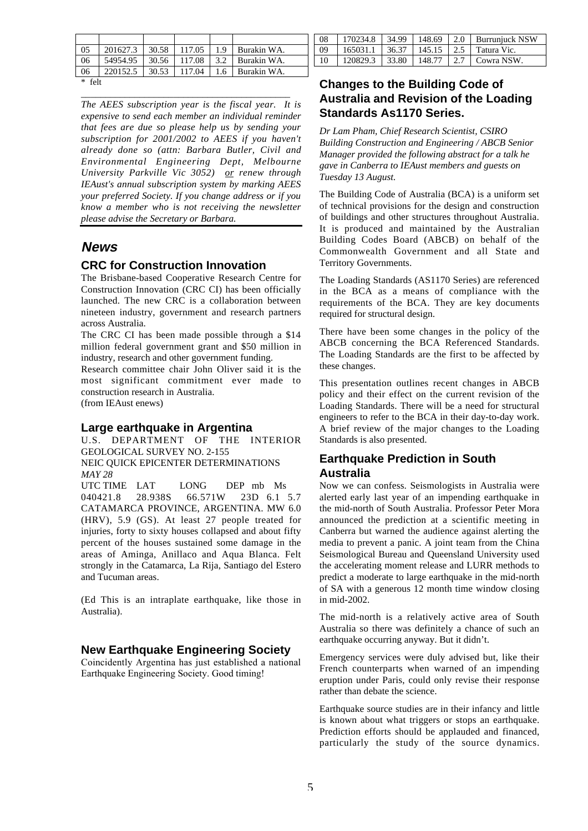| 05   | 201627.3 | 30.58 | 117.05 | 1.9 | Burakin WA. |
|------|----------|-------|--------|-----|-------------|
| 06   | 54954.95 | 30.56 | 117.08 | 3.2 | Burakin WA. |
| 06   | 220152.5 | 30.53 | 117.04 | 1.6 | Burakin WA. |
| felt |          |       |        |     |             |

\_\_\_\_\_\_\_\_\_\_\_\_\_\_\_\_\_\_\_\_\_\_\_\_\_\_\_\_\_\_\_\_\_\_\_\_\_\_\_\_\_\_\_

*The AEES subscription year is the fiscal year. It is expensive to send each member an individual reminder that fees are due so please help us by sending your subscription for 2001/2002 to AEES if you haven't already done so (attn: Barbara Butler, Civil and Environmental Engineering Dept, Melbourne University Parkville Vic 3052) or renew through IEAust's annual subscription system by marking AEES your preferred Society. If you change address or if you know a member who is not receiving the newsletter please advise the Secretary or Barbara.*

## **News**

#### **CRC for Construction Innovation**

The Brisbane-based Cooperative Research Centre for Construction Innovation (CRC CI) has been officially launched. The new CRC is a collaboration between nineteen industry, government and research partners across Australia.

The CRC CI has been made possible through a \$14 million federal government grant and \$50 million in industry, research and other government funding.

Research committee chair John Oliver said it is the most significant commitment ever made to construction research in Australia. (from IEAust enews)

#### **Large earthquake in Argentina**

and Tucuman areas.

U.S. DEPARTMENT OF THE INTERIOR GEOLOGICAL SURVEY NO. 2-155 NEIC QUICK EPICENTER DETERMINATIONS *MAY 28* UTC TIME LAT LONG DEP mb Ms<br>040421.8 28.938S 66.571W 23D 6.1 040421.8 28.938S 66.571W 23D 6.1 5.7 CATAMARCA PROVINCE, ARGENTINA. MW 6.0 (HRV), 5.9 (GS). At least 27 people treated for injuries, forty to sixty houses collapsed and about fifty percent of the houses sustained some damage in the areas of Aminga, Anillaco and Aqua Blanca. Felt strongly in the Catamarca, La Rija, Santiago del Estero

(Ed This is an intraplate earthquake, like those in Australia).

#### **New Earthquake Engineering Society**

Coincidently Argentina has just established a national Earthquake Engineering Society. Good timing!

| - 08            |  |  | 170234.8   34.99   148.69   2.0   Burrunjuck NSW |
|-----------------|--|--|--------------------------------------------------|
| - 09            |  |  | 165031.1   36.37   145.15   2.5   Tatura Vic.    |
| $\overline{10}$ |  |  | 120829.3   33.80   148.77   2.7   Cowra NSW.     |

## **Changes to the Building Code of Australia and Revision of the Loading Standards As1170 Series.**

*Dr Lam Pham, Chief Research Scientist, CSIRO Building Construction and Engineering / ABCB Senior Manager provided the following abstract for a talk he gave in Canberra to IEAust members and guests on Tuesday 13 August.*

The Building Code of Australia (BCA) is a uniform set of technical provisions for the design and construction of buildings and other structures throughout Australia. It is produced and maintained by the Australian Building Codes Board (ABCB) on behalf of the Commonwealth Government and all State and Territory Governments.

The Loading Standards (AS1170 Series) are referenced in the BCA as a means of compliance with the requirements of the BCA. They are key documents required for structural design.

There have been some changes in the policy of the ABCB concerning the BCA Referenced Standards. The Loading Standards are the first to be affected by these changes.

This presentation outlines recent changes in ABCB policy and their effect on the current revision of the Loading Standards. There will be a need for structural engineers to refer to the BCA in their day-to-day work. A brief review of the major changes to the Loading Standards is also presented.

## **Earthquake Prediction in South Australia**

Now we can confess. Seismologists in Australia were alerted early last year of an impending earthquake in the mid-north of South Australia. Professor Peter Mora announced the prediction at a scientific meeting in Canberra but warned the audience against alerting the media to prevent a panic. A joint team from the China Seismological Bureau and Queensland University used the accelerating moment release and LURR methods to predict a moderate to large earthquake in the mid-north of SA with a generous 12 month time window closing in mid-2002.

The mid-north is a relatively active area of South Australia so there was definitely a chance of such an earthquake occurring anyway. But it didn't.

Emergency services were duly advised but, like their French counterparts when warned of an impending eruption under Paris, could only revise their response rather than debate the science.

Earthquake source studies are in their infancy and little is known about what triggers or stops an earthquake. Prediction efforts should be applauded and financed, particularly the study of the source dynamics.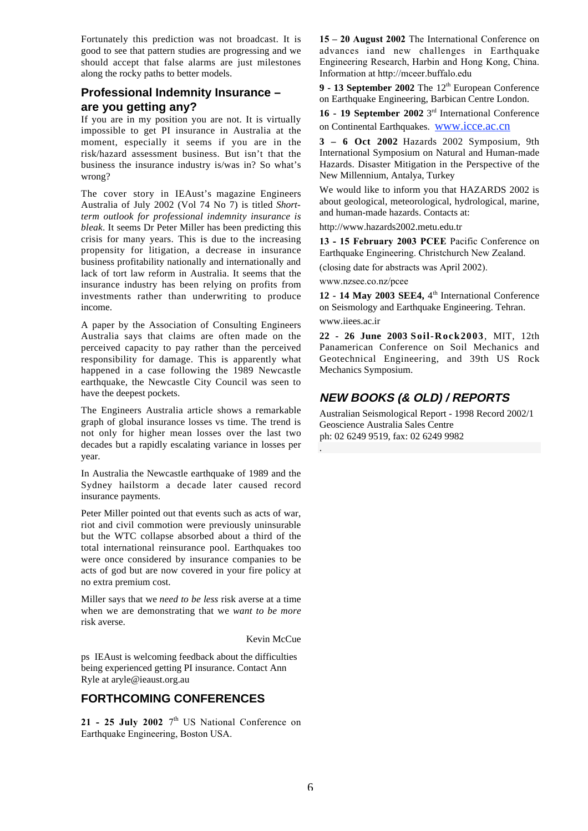Fortunately this prediction was not broadcast. It is good to see that pattern studies are progressing and we should accept that false alarms are just milestones along the rocky paths to better models.

## **Professional Indemnity Insurance – are you getting any?**

If you are in my position you are not. It is virtually impossible to get PI insurance in Australia at the moment, especially it seems if you are in the risk/hazard assessment business. But isn't that the business the insurance industry is/was in? So what's wrong?

The cover story in IEAust's magazine Engineers Australia of July 2002 (Vol 74 No 7) is titled *Shortterm outlook for professional indemnity insurance is bleak*. It seems Dr Peter Miller has been predicting this crisis for many years. This is due to the increasing propensity for litigation, a decrease in insurance business profitability nationally and internationally and lack of tort law reform in Australia. It seems that the insurance industry has been relying on profits from investments rather than underwriting to produce income.

A paper by the Association of Consulting Engineers Australia says that claims are often made on the perceived capacity to pay rather than the perceived responsibility for damage. This is apparently what happened in a case following the 1989 Newcastle earthquake, the Newcastle City Council was seen to have the deepest pockets.

The Engineers Australia article shows a remarkable graph of global insurance losses vs time. The trend is not only for higher mean losses over the last two decades but a rapidly escalating variance in losses per year.

In Australia the Newcastle earthquake of 1989 and the Sydney hailstorm a decade later caused record insurance payments.

Peter Miller pointed out that events such as acts of war, riot and civil commotion were previously uninsurable but the WTC collapse absorbed about a third of the total international reinsurance pool. Earthquakes too were once considered by insurance companies to be acts of god but are now covered in your fire policy at no extra premium cost.

Miller says that we *need to be less* risk averse at a time when we are demonstrating that we *want to be more* risk averse.

Kevin McCue

ps IEAust is welcoming feedback about the difficulties being experienced getting PI insurance. Contact Ann Ryle at aryle@ieaust.org.au

## **FORTHCOMING CONFERENCES**

21 - 25 July 2002  $7<sup>th</sup>$  US National Conference on Earthquake Engineering, Boston USA.

**15 – 20 August 2002** The International Conference on advances iand new challenges in Earthquake Engineering Research, Harbin and Hong Kong, China. Information at http://mceer.buffalo.edu

9 - 13 September 2002 The 12<sup>th</sup> European Conference on Earthquake Engineering, Barbican Centre London.

**16 - 19 September 2002** 3rd International Conference on Continental Earthquakes. www.icce.ac.cn

**3 – 6 Oct 2002** Hazards 2002 Symposium, 9th International Symposium on Natural and Human-made Hazards. Disaster Mitigation in the Perspective of the New Millennium, Antalya, Turkey

We would like to inform you that HAZARDS 2002 is about geological, meteorological, hydrological, marine, and human-made hazards. Contacts at:

http://www.hazards2002.metu.edu.tr

**13 - 15 February 2003 PCEE** Pacific Conference on Earthquake Engineering. Christchurch New Zealand.

(closing date for abstracts was April 2002).

www.nzsee.co.nz/pcee

.

12 - 14 May 2003 SEE4, 4<sup>th</sup> International Conference on Seismology and Earthquake Engineering. Tehran. www.iiees.ac.ir

**22 - 26 June 2003 Soil-Rock2003**, MIT, 12th Panamerican Conference on Soil Mechanics and Geotechnical Engineering, and 39th US Rock Mechanics Symposium.

## **NEW BOOKS (& OLD) / REPORTS**

Australian Seismological Report - 1998 Record 2002/1 Geoscience Australia Sales Centre ph: 02 6249 9519, fax: 02 6249 9982